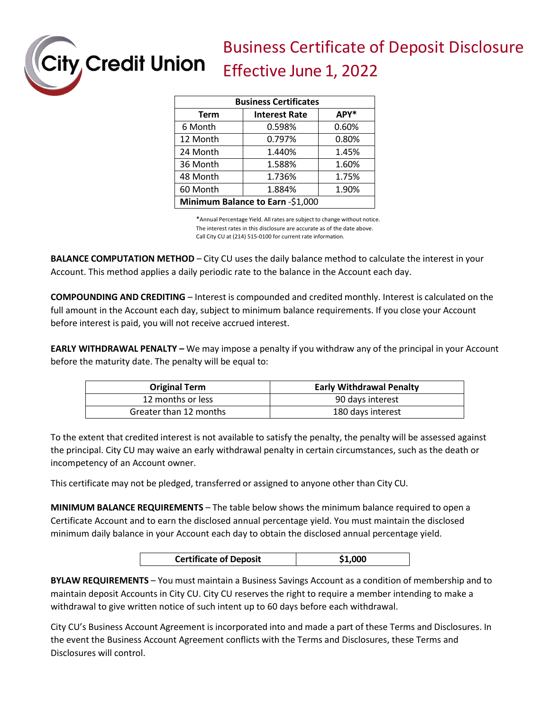Business Certificate of Deposit Disclosure Effective June 1, 2022

| <b>Business Certificates</b>     |                      |       |  |
|----------------------------------|----------------------|-------|--|
| <b>Term</b>                      | <b>Interest Rate</b> | APY*  |  |
| 6 Month                          | 0.598%               | 0.60% |  |
| 12 Month                         | 0.797%               | 0.80% |  |
| 24 Month                         | 1.440%               | 1.45% |  |
| 36 Month                         | 1.588%               | 1.60% |  |
| 48 Month                         | 1.736%               | 1.75% |  |
| 60 Month                         | 1.884%               | 1.90% |  |
| Minimum Balance to Earn -\$1,000 |                      |       |  |

ity, Credit Union

\*Annual Percentage Yield. All rates are subject to change without notice. The interest rates in this disclosure are accurate as of the date above. Call City CU at (214) 515-0100 for current rate information.

**BALANCE COMPUTATION METHOD** – City CU uses the daily balance method to calculate the interest in your Account. This method applies a daily periodic rate to the balance in the Account each day.

**COMPOUNDING AND CREDITING** – Interest is compounded and credited monthly. Interest is calculated on the full amount in the Account each day, subject to minimum balance requirements. If you close your Account before interest is paid, you will not receive accrued interest.

**EARLY WITHDRAWAL PENALTY –** We may impose a penalty if you withdraw any of the principal in your Account before the maturity date. The penalty will be equal to:

| <b>Original Term</b>   | <b>Early Withdrawal Penalty</b> |
|------------------------|---------------------------------|
| 12 months or less      | 90 days interest                |
| Greater than 12 months | 180 days interest               |

To the extent that credited interest is not available to satisfy the penalty, the penalty will be assessed against the principal. City CU may waive an early withdrawal penalty in certain circumstances, such as the death or incompetency of an Account owner.

This certificate may not be pledged, transferred or assigned to anyone other than City CU.

**MINIMUM BALANCE REQUIREMENTS** – The table below shows the minimum balance required to open a Certificate Account and to earn the disclosed annual percentage yield. You must maintain the disclosed minimum daily balance in your Account each day to obtain the disclosed annual percentage yield.

| <b>Certificate of Deposit</b> | \$1,000 |
|-------------------------------|---------|
|                               |         |

**BYLAW REQUIREMENTS** – You must maintain a Business Savings Account as a condition of membership and to maintain deposit Accounts in City CU. City CU reserves the right to require a member intending to make a withdrawal to give written notice of such intent up to 60 days before each withdrawal.

City CU's Business Account Agreement is incorporated into and made a part of these Terms and Disclosures. In the event the Business Account Agreement conflicts with the Terms and Disclosures, these Terms and Disclosures will control.